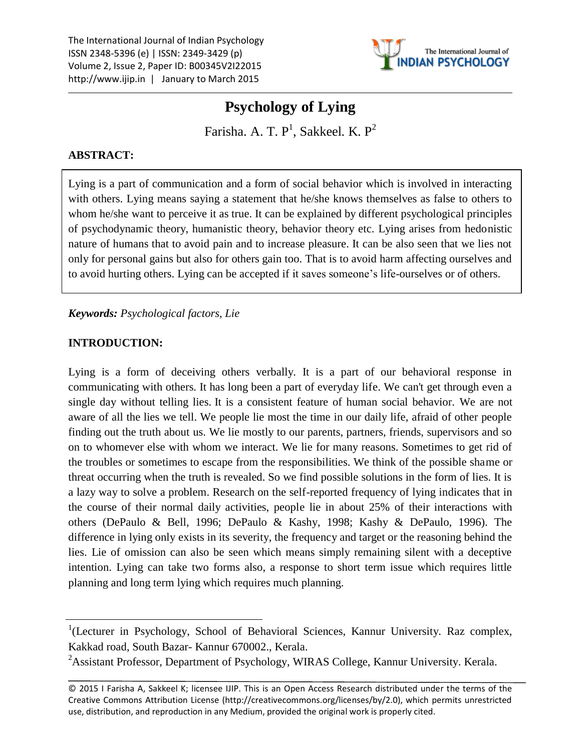

Farisha. A. T.  $P^1$ , Sakkeel. K.  $P^2$ 

# **ABSTRACT:**

Lying is a part of communication and a form of social behavior which is involved in interacting with others. Lying means saying a statement that he/she knows themselves as false to others to whom he/she want to perceive it as true. It can be explained by different psychological principles of psychodynamic theory, humanistic theory, behavior theory etc. Lying arises from hedonistic nature of humans that to avoid pain and to increase pleasure. It can be also seen that we lies not only for personal gains but also for others gain too. That is to avoid harm affecting ourselves and to avoid hurting others. Lying can be accepted if it saves someone's life-ourselves or of others.

## *Keywords: Psychological factors, Lie*

## **INTRODUCTION:**

Lying is a form of deceiving others verbally. It is a part of our behavioral response in communicating with others. It has long been a part of everyday life. We can't get through even a single day without telling lies. It is a consistent feature of human social behavior. We are not aware of all the lies we tell. We people lie most the time in our daily life, afraid of other people finding out the truth about us. We lie mostly to our parents, partners, friends, supervisors and so on to whomever else with whom we interact. We lie for many reasons. Sometimes to get rid of the troubles or sometimes to escape from the responsibilities. We think of the possible shame or threat occurring when the truth is revealed. So we find possible solutions in the form of lies. It is a lazy way to solve a problem. Research on the self-reported frequency of lying indicates that in the course of their normal daily activities, people lie in about 25% of their interactions with others (DePaulo & Bell, 1996; DePaulo & Kashy, 1998; Kashy & DePaulo, 1996). The difference in lying only exists in its severity, the frequency and target or the reasoning behind the lies. Lie of omission can also be seen which means simply remaining silent with a deceptive intention. Lying can take two forms also, a response to short term issue which requires little planning and long term lying which requires much planning.

<sup>&</sup>lt;sup>1</sup>(Lecturer in Psychology, School of Behavioral Sciences, Kannur University. Raz complex, Kakkad road, South Bazar- Kannur 670002., Kerala.

<sup>&</sup>lt;sup>2</sup>Assistant Professor, Department of Psychology, WIRAS College, Kannur University. Kerala.

<sup>© 2015</sup> I Farisha A, Sakkeel K; licensee IJIP. This is an Open Access Research distributed under the terms of the Creative Commons Attribution License (http://creativecommons.org/licenses/by/2.0), which permits unrestricted use, distribution, and reproduction in any Medium, provided the original work is properly cited.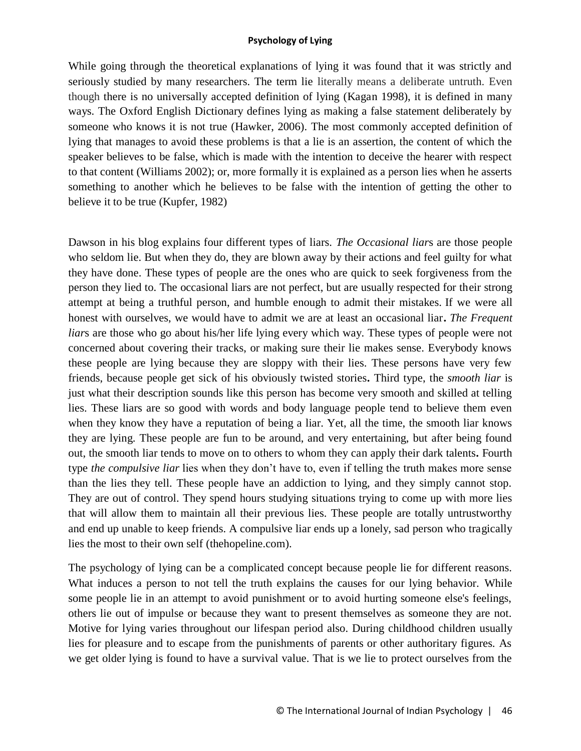While going through the theoretical explanations of lying it was found that it was strictly and seriously studied by many researchers. The term lie literally means a deliberate untruth. Even though there is no universally accepted definition of lying (Kagan 1998), it is defined in many ways. The Oxford English Dictionary defines lying as making a false statement deliberately by someone who knows it is not true (Hawker, 2006). The most commonly accepted definition of lying that manages to avoid these problems is that a lie is an assertion, the content of which the speaker believes to be false, which is made with the intention to deceive the hearer with respect to that content (Williams 2002); or, more formally it is explained as a person lies when he asserts something to another which he believes to be false with the intention of getting the other to believe it to be true (Kupfer, 1982)

Dawson in his blog explains four different types of liars. *The Occasional liar*s are those people who seldom lie. But when they do, they are blown away by their actions and feel guilty for what they have done. These types of people are the ones who are quick to seek forgiveness from the person they lied to. The occasional liars are not perfect, but are usually respected for their strong attempt at being a truthful person, and humble enough to admit their mistakes. If we were all honest with ourselves, we would have to admit we are at least an occasional liar**.** *The Frequent liar*s are those who go about his/her life lying every which way. These types of people were not concerned about covering their tracks, or making sure their lie makes sense. Everybody knows these people are lying because they are sloppy with their lies. These persons have very few friends, because people get sick of his obviously twisted stories**.** Third type, the *smooth liar* is just what their description sounds like this person has become very smooth and skilled at telling lies. These liars are so good with words and body language people tend to believe them even when they know they have a reputation of being a liar. Yet, all the time, the smooth liar knows they are lying. These people are fun to be around, and very entertaining, but after being found out, the smooth liar tends to move on to others to whom they can apply their dark talents**.** Fourth type *the compulsive liar* lies when they don't have to, even if telling the truth makes more sense than the lies they tell. These people have an addiction to lying, and they simply cannot stop. They are out of control. They spend hours studying situations trying to come up with more lies that will allow them to maintain all their previous lies. These people are totally untrustworthy and end up unable to keep friends. A compulsive liar ends up a lonely, sad person who tragically lies the most to their own self (thehopeline.com).

The psychology of lying can be a complicated concept because people lie for different reasons. What induces a person to not tell the truth explains the causes for our lying behavior. While some people lie in an attempt to avoid punishment or to avoid hurting someone else's feelings, others lie out of impulse or because they want to present themselves as someone they are not. Motive for lying varies throughout our lifespan period also. During childhood children usually lies for pleasure and to escape from the punishments of parents or other authoritary figures. As we get older lying is found to have a survival value. That is we lie to protect ourselves from the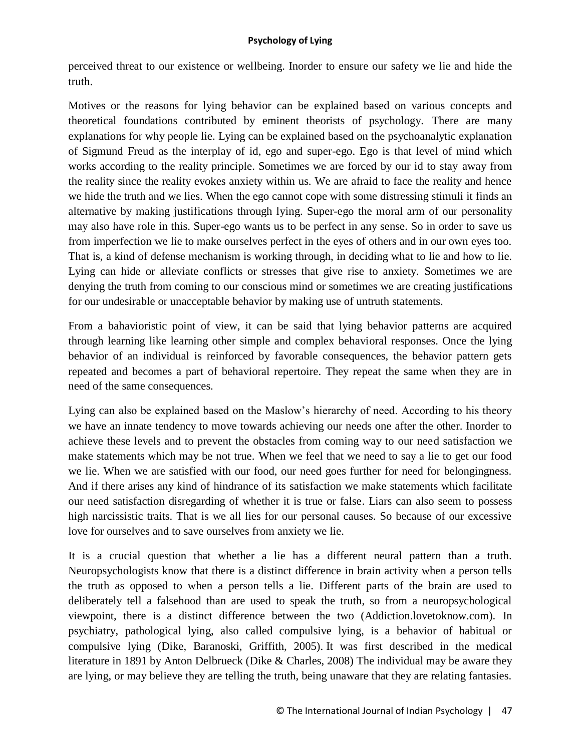perceived threat to our existence or wellbeing. Inorder to ensure our safety we lie and hide the truth.

Motives or the reasons for lying behavior can be explained based on various concepts and theoretical foundations contributed by eminent theorists of psychology. There are many explanations for why people lie. Lying can be explained based on the psychoanalytic explanation of Sigmund Freud as the interplay of id, ego and super-ego. Ego is that level of mind which works according to the reality principle. Sometimes we are forced by our id to stay away from the reality since the reality evokes anxiety within us. We are afraid to face the reality and hence we hide the truth and we lies. When the ego cannot cope with some distressing stimuli it finds an alternative by making justifications through lying. Super-ego the moral arm of our personality may also have role in this. Super-ego wants us to be perfect in any sense. So in order to save us from imperfection we lie to make ourselves perfect in the eyes of others and in our own eyes too. That is, a kind of defense mechanism is working through, in deciding what to lie and how to lie. Lying can hide or alleviate conflicts or stresses that give rise to anxiety. Sometimes we are denying the truth from coming to our conscious mind or sometimes we are creating justifications for our undesirable or unacceptable behavior by making use of untruth statements.

From a bahavioristic point of view, it can be said that lying behavior patterns are acquired through learning like learning other simple and complex behavioral responses. Once the lying behavior of an individual is reinforced by favorable consequences, the behavior pattern gets repeated and becomes a part of behavioral repertoire. They repeat the same when they are in need of the same consequences.

Lying can also be explained based on the Maslow's hierarchy of need. According to his theory we have an innate tendency to move towards achieving our needs one after the other. Inorder to achieve these levels and to prevent the obstacles from coming way to our need satisfaction we make statements which may be not true. When we feel that we need to say a lie to get our food we lie. When we are satisfied with our food, our need goes further for need for belongingness. And if there arises any kind of hindrance of its satisfaction we make statements which facilitate our need satisfaction disregarding of whether it is true or false. Liars can also seem to possess high narcissistic traits. That is we all lies for our personal causes. So because of our excessive love for ourselves and to save ourselves from anxiety we lie.

It is a crucial question that whether a lie has a different neural pattern than a truth. Neuropsychologists know that there is a distinct difference in brain activity when a person tells the truth as opposed to when a person tells a lie. Different parts of the brain are used to deliberately tell a falsehood than are used to speak the truth, so from a neuropsychological viewpoint, there is a distinct difference between the two (Addiction.lovetoknow.com). In psychiatry, pathological lying, also called compulsive lying, is a behavior of habitual or compulsive lying (Dike, Baranoski, Griffith, 2005). It was first described in the medical literature in 1891 by Anton Delbrueck (Dike & Charles, 2008) The individual may be aware they are lying, or may believe they are telling the truth, being unaware that they are relating fantasies.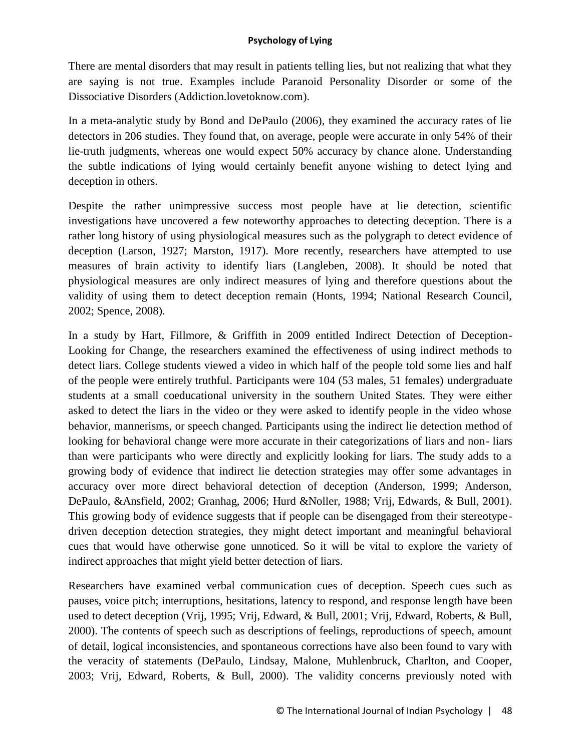There are mental disorders that may result in patients telling lies, but not realizing that what they are saying is not true. Examples include Paranoid Personality Disorder or some of the Dissociative Disorders (Addiction.lovetoknow.com).

In a meta-analytic study by Bond and DePaulo (2006), they examined the accuracy rates of lie detectors in 206 studies. They found that, on average, people were accurate in only 54% of their lie-truth judgments, whereas one would expect 50% accuracy by chance alone. Understanding the subtle indications of lying would certainly benefit anyone wishing to detect lying and deception in others.

Despite the rather unimpressive success most people have at lie detection, scientific investigations have uncovered a few noteworthy approaches to detecting deception. There is a rather long history of using physiological measures such as the polygraph to detect evidence of deception (Larson, 1927; Marston, 1917). More recently, researchers have attempted to use measures of brain activity to identify liars (Langleben, 2008). It should be noted that physiological measures are only indirect measures of lying and therefore questions about the validity of using them to detect deception remain (Honts, 1994; National Research Council, 2002; Spence, 2008).

In a study by Hart, Fillmore, & Griffith in 2009 entitled Indirect Detection of Deception-Looking for Change, the researchers examined the effectiveness of using indirect methods to detect liars. College students viewed a video in which half of the people told some lies and half of the people were entirely truthful. Participants were 104 (53 males, 51 females) undergraduate students at a small coeducational university in the southern United States. They were either asked to detect the liars in the video or they were asked to identify people in the video whose behavior, mannerisms, or speech changed. Participants using the indirect lie detection method of looking for behavioral change were more accurate in their categorizations of liars and non- liars than were participants who were directly and explicitly looking for liars. The study adds to a growing body of evidence that indirect lie detection strategies may offer some advantages in accuracy over more direct behavioral detection of deception (Anderson, 1999; Anderson, DePaulo, &Ansfield, 2002; Granhag, 2006; Hurd &Noller, 1988; Vrij, Edwards, & Bull, 2001). This growing body of evidence suggests that if people can be disengaged from their stereotypedriven deception detection strategies, they might detect important and meaningful behavioral cues that would have otherwise gone unnoticed. So it will be vital to explore the variety of indirect approaches that might yield better detection of liars.

Researchers have examined verbal communication cues of deception. Speech cues such as pauses, voice pitch; interruptions, hesitations, latency to respond, and response length have been used to detect deception (Vrij, 1995; Vrij, Edward, & Bull, 2001; Vrij, Edward, Roberts, & Bull, 2000). The contents of speech such as descriptions of feelings, reproductions of speech, amount of detail, logical inconsistencies, and spontaneous corrections have also been found to vary with the veracity of statements (DePaulo, Lindsay, Malone, Muhlenbruck, Charlton, and Cooper, 2003; Vrij, Edward, Roberts, & Bull, 2000). The validity concerns previously noted with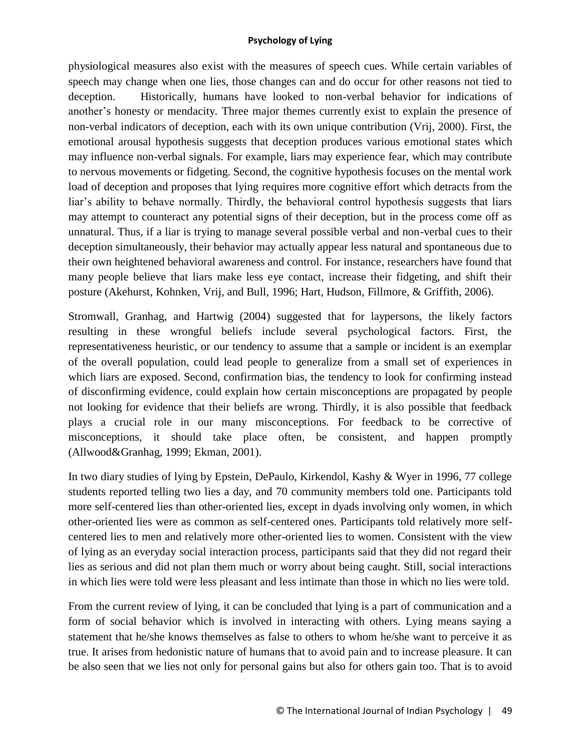physiological measures also exist with the measures of speech cues. While certain variables of speech may change when one lies, those changes can and do occur for other reasons not tied to deception. Historically, humans have looked to non-verbal behavior for indications of another's honesty or mendacity. Three major themes currently exist to explain the presence of non-verbal indicators of deception, each with its own unique contribution (Vrij, 2000). First, the emotional arousal hypothesis suggests that deception produces various emotional states which may influence non-verbal signals. For example, liars may experience fear, which may contribute to nervous movements or fidgeting. Second, the cognitive hypothesis focuses on the mental work load of deception and proposes that lying requires more cognitive effort which detracts from the liar's ability to behave normally. Thirdly, the behavioral control hypothesis suggests that liars may attempt to counteract any potential signs of their deception, but in the process come off as unnatural. Thus, if a liar is trying to manage several possible verbal and non-verbal cues to their deception simultaneously, their behavior may actually appear less natural and spontaneous due to their own heightened behavioral awareness and control. For instance, researchers have found that many people believe that liars make less eye contact, increase their fidgeting, and shift their posture (Akehurst, Kohnken, Vrij, and Bull, 1996; Hart, Hudson, Fillmore, & Griffith, 2006).

Stromwall, Granhag, and Hartwig (2004) suggested that for laypersons, the likely factors resulting in these wrongful beliefs include several psychological factors. First, the representativeness heuristic, or our tendency to assume that a sample or incident is an exemplar of the overall population, could lead people to generalize from a small set of experiences in which liars are exposed. Second, confirmation bias, the tendency to look for confirming instead of disconfirming evidence, could explain how certain misconceptions are propagated by people not looking for evidence that their beliefs are wrong. Thirdly, it is also possible that feedback plays a crucial role in our many misconceptions. For feedback to be corrective of misconceptions, it should take place often, be consistent, and happen promptly (Allwood&Granhag, 1999; Ekman, 2001).

In two diary studies of lying by Epstein, DePaulo, Kirkendol, Kashy & Wyer in 1996, 77 college students reported telling two lies a day, and 70 community members told one. Participants told more self-centered lies than other-oriented lies, except in dyads involving only women, in which other-oriented lies were as common as self-centered ones. Participants told relatively more selfcentered lies to men and relatively more other-oriented lies to women. Consistent with the view of lying as an everyday social interaction process, participants said that they did not regard their lies as serious and did not plan them much or worry about being caught. Still, social interactions in which lies were told were less pleasant and less intimate than those in which no lies were told.

From the current review of lying, it can be concluded that lying is a part of communication and a form of social behavior which is involved in interacting with others. Lying means saying a statement that he/she knows themselves as false to others to whom he/she want to perceive it as true. It arises from hedonistic nature of humans that to avoid pain and to increase pleasure. It can be also seen that we lies not only for personal gains but also for others gain too. That is to avoid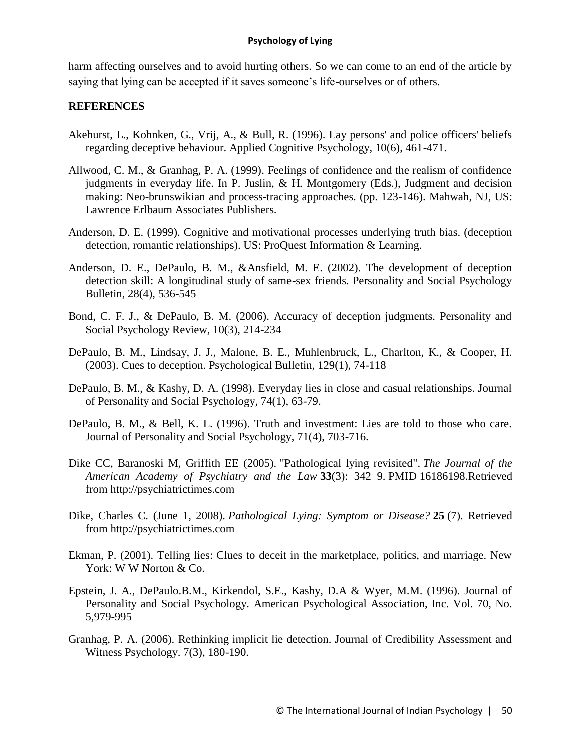harm affecting ourselves and to avoid hurting others. So we can come to an end of the article by saying that lying can be accepted if it saves someone's life-ourselves or of others.

# **REFERENCES**

- Akehurst, L., Kohnken, G., Vrij, A., & Bull, R. (1996). Lay persons' and police officers' beliefs regarding deceptive behaviour. Applied Cognitive Psychology, 10(6), 461-471.
- Allwood, C. M., & Granhag, P. A. (1999). Feelings of confidence and the realism of confidence judgments in everyday life. In P. Juslin, & H. Montgomery (Eds.), Judgment and decision making: Neo-brunswikian and process-tracing approaches. (pp. 123-146). Mahwah, NJ, US: Lawrence Erlbaum Associates Publishers.
- Anderson, D. E. (1999). Cognitive and motivational processes underlying truth bias. (deception detection, romantic relationships). US: ProQuest Information & Learning.
- Anderson, D. E., DePaulo, B. M., &Ansfield, M. E. (2002). The development of deception detection skill: A longitudinal study of same-sex friends. Personality and Social Psychology Bulletin, 28(4), 536-545
- Bond, C. F. J., & DePaulo, B. M. (2006). Accuracy of deception judgments. Personality and Social Psychology Review, 10(3), 214-234
- DePaulo, B. M., Lindsay, J. J., Malone, B. E., Muhlenbruck, L., Charlton, K., & Cooper, H. (2003). Cues to deception. Psychological Bulletin, 129(1), 74-118
- DePaulo, B. M., & Kashy, D. A. (1998). Everyday lies in close and casual relationships. Journal of Personality and Social Psychology, 74(1), 63-79.
- DePaulo, B. M., & Bell, K. L. (1996). Truth and investment: Lies are told to those who care. Journal of Personality and Social Psychology, 71(4), 703-716.
- Dike CC, Baranoski M, Griffith EE (2005). "Pathological lying revisited". *The Journal of the American Academy of Psychiatry and the Law* **33**(3): 342–9. PMID 16186198.Retrieved from http://psychiatrictimes.com
- Dike, Charles C. (June 1, 2008). *Pathological Lying: Symptom or Disease?* **25** (7). Retrieved from http://psychiatrictimes.com
- Ekman, P. (2001). Telling lies: Clues to deceit in the marketplace, politics, and marriage. New York: W W Norton & Co.
- Epstein, J. A., DePaulo.B.M., Kirkendol, S.E., Kashy, D.A & Wyer, M.M. (1996). Journal of Personality and Social Psychology. American Psychological Association, Inc. Vol. 70, No. 5,979-995
- Granhag, P. A. (2006). Rethinking implicit lie detection. Journal of Credibility Assessment and Witness Psychology. 7(3), 180-190.